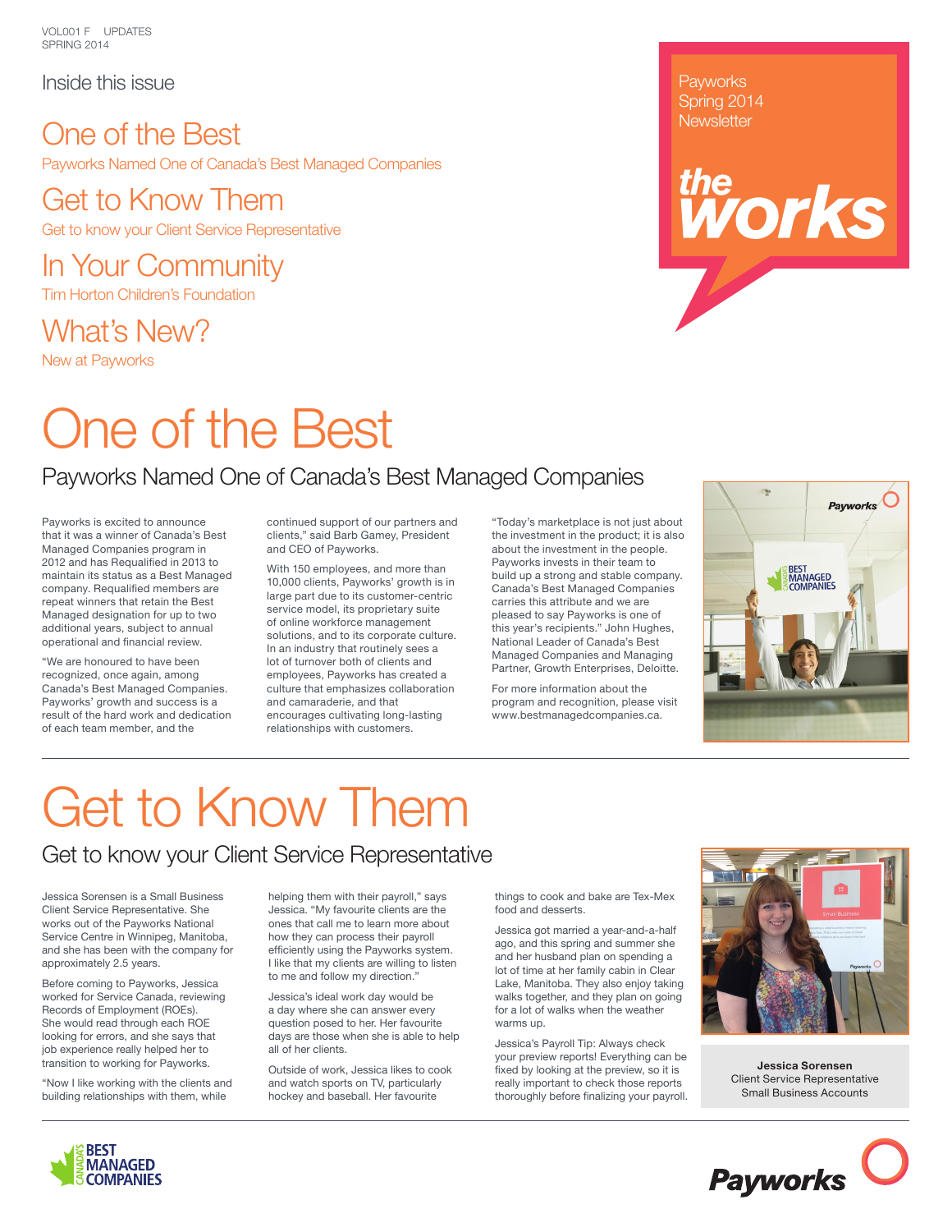VOL001 F UPDATES SPRING 2014

Inside this issue

### One of the Best Payworks Named One of Canada's Best Managed Companies

Get to Know Them Get to know your Client Service Representative

In Your Community Tim Horton Children's Foundation

What's New?

New at Payworks

## One of the Best

## Payworks Named One of Canada's Best Managed Companies

Payworks is excited to announce that it was a winner of Canada's Best Managed Companies program in 2012 and has Requalified in 2013 to maintain its status as a Best Managed company. Requalified members are repeat winners that retain the Best Managed designation for up to two additional years, subject to annual operational and financial review.

"We are honoured to have been recognized, once again, among Canada's Best Managed Companies. Payworks' growth and success is a result of the hard work and dedication of each team member, and the

continued support of our partners and clients," said Barb Gamey, President and CEO of Payworks.

With 150 employees, and more than 10,000 clients, Payworks' growth is in large part due to its customer-centric service model, its proprietary suite of online workforce management solutions, and to its corporate culture. In an industry that routinely sees a lot of turnover both of clients and employees, Payworks has created a culture that emphasizes collaboration and camaraderie, and that encourages cultivating long-lasting relationships with customers.

"Today's marketplace is not just about the investment in the product; it is also about the investment in the people. Payworks invests in their team to build up a strong and stable company. Canada's Best Managed Companies carries this attribute and we are pleased to say Payworks is one of this year's recipients." John Hughes, National Leader of Canada's Best Managed Companies and Managing Partner, Growth Enterprises, Deloitte.

For more information about the program and recognition, please visit www.bestmanagedcompanies.ca.



*the*

**Payworks** Spring 2014 **Newsletter** 

# Get to Know Them

## Get to know your Client Service Representative

Jessica Sorensen is a Small Business Client Service Representative. She works out of the Payworks National Service Centre in Winnipeg, Manitoba, and she has been with the company for approximately 2.5 years.

Before coming to Payworks, Jessica worked for Service Canada, reviewing Records of Employment (ROEs). She would read through each ROE looking for errors, and she says that job experience really helped her to transition to working for Payworks.

"Now I like working with the clients and building relationships with them, while

helping them with their payroll," says Jessica. "My favourite clients are the ones that call me to learn more about how they can process their payroll efficiently using the Payworks system. I like that my clients are willing to listen to me and follow my direction."

Jessica's ideal work day would be a day where she can answer every question posed to her. Her favourite days are those when she is able to help all of her clients.

Outside of work, Jessica likes to cook and watch sports on TV, particularly hockey and baseball. Her favourite

things to cook and bake are Tex-Mex food and desserts.

Jessica got married a year-and-a-half ago, and this spring and summer she and her husband plan on spending a lot of time at her family cabin in Clear Lake, Manitoba. They also enjoy taking walks together, and they plan on going for a lot of walks when the weather warms up.

Jessica's Payroll Tip: Always check your preview reports! Everything can be fixed by looking at the preview, so it is really important to check those reports thoroughly before finalizing your payroll.



**Jessica Sorensen** Client Service Representative Small Business Accounts